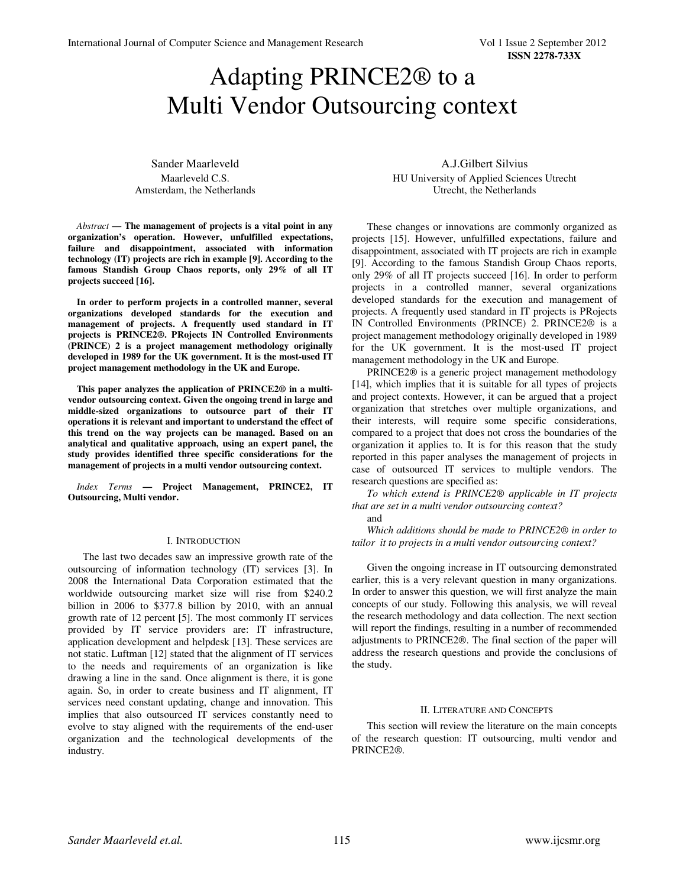# Adapting PRINCE2® to a Multi Vendor Outsourcing context

Sander Maarleveld Maarleveld C.S. Amsterdam, the Netherlands

*Abstract* **— The management of projects is a vital point in any organization's operation. However, unfulfilled expectations, failure and disappointment, associated with information technology (IT) projects are rich in example [9]. According to the famous Standish Group Chaos reports, only 29% of all IT projects succeed [16].** 

**In order to perform projects in a controlled manner, several organizations developed standards for the execution and management of projects. A frequently used standard in IT projects is PRINCE2®. PRojects IN Controlled Environments (PRINCE) 2 is a project management methodology originally developed in 1989 for the UK government. It is the most-used IT project management methodology in the UK and Europe.** 

**This paper analyzes the application of PRINCE2® in a multivendor outsourcing context. Given the ongoing trend in large and middle-sized organizations to outsource part of their IT operations it is relevant and important to understand the effect of this trend on the way projects can be managed. Based on an analytical and qualitative approach, using an expert panel, the study provides identified three specific considerations for the management of projects in a multi vendor outsourcing context.** 

*Index Terms* **— Project Management, PRINCE2, IT Outsourcing, Multi vendor.** 

#### I. INTRODUCTION

The last two decades saw an impressive growth rate of the outsourcing of information technology (IT) services [3]. In 2008 the International Data Corporation estimated that the worldwide outsourcing market size will rise from \$240.2 billion in 2006 to \$377.8 billion by 2010, with an annual growth rate of 12 percent [5]. The most commonly IT services provided by IT service providers are: IT infrastructure, application development and helpdesk [13]. These services are not static. Luftman [12] stated that the alignment of IT services to the needs and requirements of an organization is like drawing a line in the sand. Once alignment is there, it is gone again. So, in order to create business and IT alignment, IT services need constant updating, change and innovation. This implies that also outsourced IT services constantly need to evolve to stay aligned with the requirements of the end-user organization and the technological developments of the industry.

A.J.Gilbert Silvius HU University of Applied Sciences Utrecht Utrecht, the Netherlands

These changes or innovations are commonly organized as projects [15]. However, unfulfilled expectations, failure and disappointment, associated with IT projects are rich in example [9]. According to the famous Standish Group Chaos reports, only 29% of all IT projects succeed [16]. In order to perform projects in a controlled manner, several organizations developed standards for the execution and management of projects. A frequently used standard in IT projects is PRojects IN Controlled Environments (PRINCE) 2. PRINCE2® is a project management methodology originally developed in 1989 for the UK government. It is the most-used IT project management methodology in the UK and Europe.

PRINCE2® is a generic project management methodology [14], which implies that it is suitable for all types of projects and project contexts. However, it can be argued that a project organization that stretches over multiple organizations, and their interests, will require some specific considerations, compared to a project that does not cross the boundaries of the organization it applies to. It is for this reason that the study reported in this paper analyses the management of projects in case of outsourced IT services to multiple vendors. The research questions are specified as:

*To which extend is PRINCE2® applicable in IT projects that are set in a multi vendor outsourcing context?* 

and

*Which additions should be made to PRINCE2® in order to tailor it to projects in a multi vendor outsourcing context?* 

Given the ongoing increase in IT outsourcing demonstrated earlier, this is a very relevant question in many organizations. In order to answer this question, we will first analyze the main concepts of our study. Following this analysis, we will reveal the research methodology and data collection. The next section will report the findings, resulting in a number of recommended adjustments to PRINCE2®. The final section of the paper will address the research questions and provide the conclusions of the study.

#### II. LITERATURE AND CONCEPTS

This section will review the literature on the main concepts of the research question: IT outsourcing, multi vendor and PRINCE2®.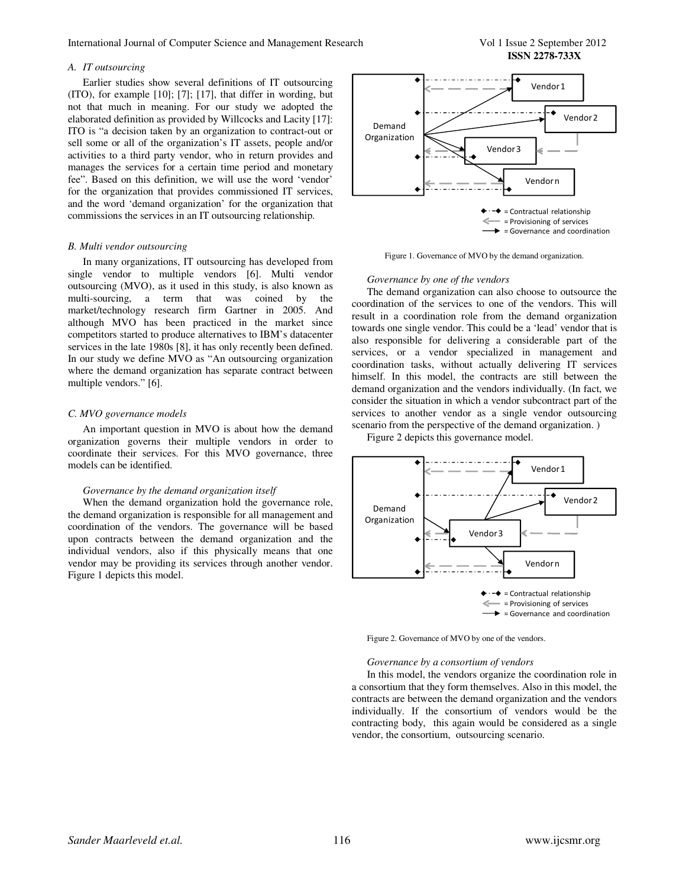International Journal of Computer Science and Management Research Vol 1 Issue 2 September 2012

**ISSN 2278-733X**

#### *A. IT outsourcing*

Earlier studies show several definitions of IT outsourcing (ITO), for example [10]; [7]; [17], that differ in wording, but not that much in meaning. For our study we adopted the elaborated definition as provided by Willcocks and Lacity [17]: ITO is "a decision taken by an organization to contract-out or sell some or all of the organization's IT assets, people and/or activities to a third party vendor, who in return provides and manages the services for a certain time period and monetary fee". Based on this definition, we will use the word 'vendor' for the organization that provides commissioned IT services, and the word 'demand organization' for the organization that commissions the services in an IT outsourcing relationship.

#### *B. Multi vendor outsourcing*

In many organizations, IT outsourcing has developed from single vendor to multiple vendors [6]. Multi vendor outsourcing (MVO), as it used in this study, is also known as multi-sourcing, a term that was coined by the market/technology research firm Gartner in 2005. And although MVO has been practiced in the market since competitors started to produce alternatives to IBM's datacenter services in the late 1980s [8], it has only recently been defined. In our study we define MVO as "An outsourcing organization where the demand organization has separate contract between multiple vendors." [6].

#### *C. MVO governance models*

An important question in MVO is about how the demand organization governs their multiple vendors in order to coordinate their services. For this MVO governance, three models can be identified.

#### *Governance by the demand organization itself*

When the demand organization hold the governance role, the demand organization is responsible for all management and coordination of the vendors. The governance will be based upon contracts between the demand organization and the individual vendors, also if this physically means that one vendor may be providing its services through another vendor. Figure 1 depicts this model.



Figure 1. Governance of MVO by the demand organization.

#### *Governance by one of the vendors*

The demand organization can also choose to outsource the coordination of the services to one of the vendors. This will result in a coordination role from the demand organization towards one single vendor. This could be a 'lead' vendor that is also responsible for delivering a considerable part of the services, or a vendor specialized in management and coordination tasks, without actually delivering IT services himself. In this model, the contracts are still between the demand organization and the vendors individually. (In fact, we consider the situation in which a vendor subcontract part of the services to another vendor as a single vendor outsourcing scenario from the perspective of the demand organization. )

Figure 2 depicts this governance model.



Figure 2. Governance of MVO by one of the vendors.

#### *Governance by a consortium of vendors*

In this model, the vendors organize the coordination role in a consortium that they form themselves. Also in this model, the contracts are between the demand organization and the vendors individually. If the consortium of vendors would be the contracting body, this again would be considered as a single vendor, the consortium, outsourcing scenario.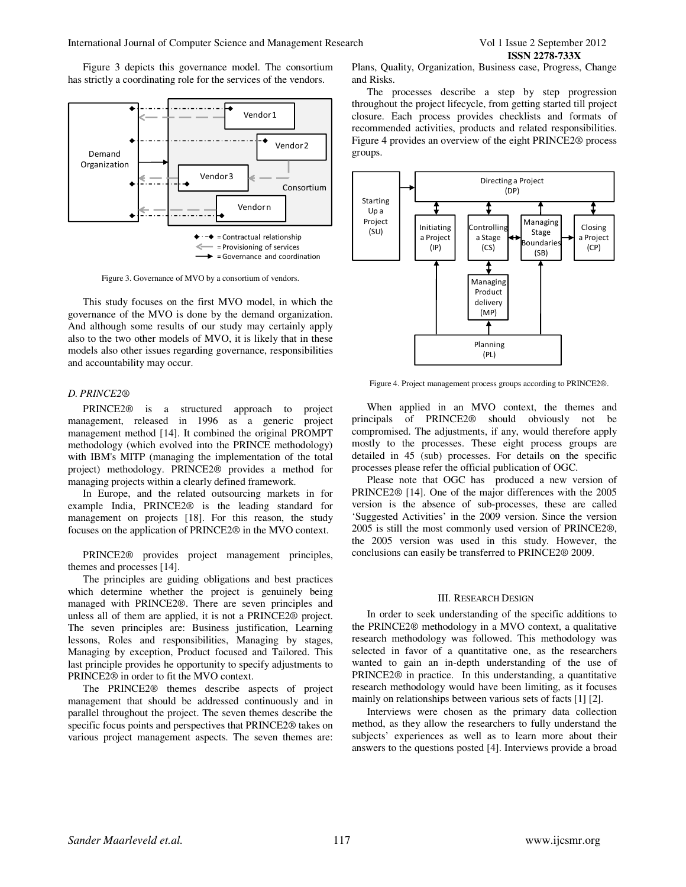Figure 3 depicts this governance model. The consortium has strictly a coordinating role for the services of the vendors.



Figure 3. Governance of MVO by a consortium of vendors.

This study focuses on the first MVO model, in which the governance of the MVO is done by the demand organization. And although some results of our study may certainly apply also to the two other models of MVO, it is likely that in these models also other issues regarding governance, responsibilities and accountability may occur.

## *D. PRINCE2®*

PRINCE2® is a structured approach to project management, released in 1996 as a generic project management method [14]. It combined the original PROMPT methodology (which evolved into the PRINCE methodology) with IBM's MITP (managing the implementation of the total project) methodology. PRINCE2® provides a method for managing projects within a clearly defined framework.

In Europe, and the related outsourcing markets in for example India, PRINCE2® is the leading standard for management on projects [18]. For this reason, the study focuses on the application of PRINCE2® in the MVO context.

PRINCE2® provides project management principles, themes and processes [14].

The principles are guiding obligations and best practices which determine whether the project is genuinely being managed with PRINCE2®. There are seven principles and unless all of them are applied, it is not a PRINCE2® project. The seven principles are: Business justification, Learning lessons, Roles and responsibilities, Managing by stages, Managing by exception, Product focused and Tailored. This last principle provides he opportunity to specify adjustments to PRINCE2® in order to fit the MVO context.

The PRINCE2® themes describe aspects of project management that should be addressed continuously and in parallel throughout the project. The seven themes describe the specific focus points and perspectives that PRINCE2® takes on various project management aspects. The seven themes are: Plans, Quality, Organization, Business case, Progress, Change and Risks.

The processes describe a step by step progression throughout the project lifecycle, from getting started till project closure. Each process provides checklists and formats of recommended activities, products and related responsibilities. Figure 4 provides an overview of the eight PRINCE2® process groups.



Figure 4. Project management process groups according to PRINCE2®.

When applied in an MVO context, the themes and principals of PRINCE2® should obviously not be compromised. The adjustments, if any, would therefore apply mostly to the processes. These eight process groups are detailed in 45 (sub) processes. For details on the specific processes please refer the official publication of OGC.

Please note that OGC has produced a new version of PRINCE2® [14]. One of the major differences with the 2005 version is the absence of sub-processes, these are called 'Suggested Activities' in the 2009 version. Since the version 2005 is still the most commonly used version of PRINCE2®, the 2005 version was used in this study. However, the conclusions can easily be transferred to PRINCE2® 2009.

# III. RESEARCH DESIGN

In order to seek understanding of the specific additions to the PRINCE2® methodology in a MVO context, a qualitative research methodology was followed. This methodology was selected in favor of a quantitative one, as the researchers wanted to gain an in-depth understanding of the use of PRINCE2® in practice. In this understanding, a quantitative research methodology would have been limiting, as it focuses mainly on relationships between various sets of facts [1] [2].

Interviews were chosen as the primary data collection method, as they allow the researchers to fully understand the subjects' experiences as well as to learn more about their answers to the questions posted [4]. Interviews provide a broad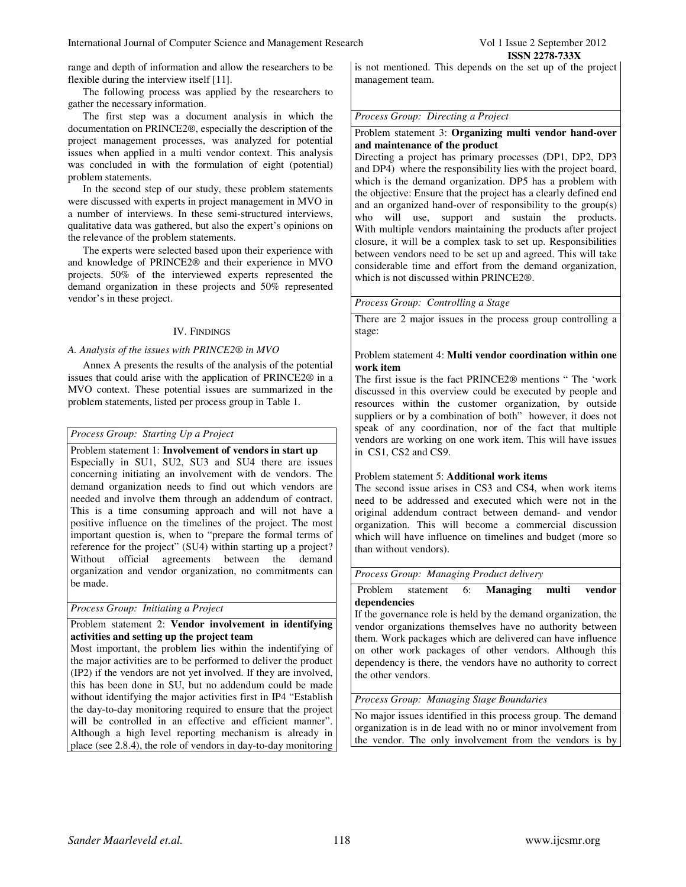The following process was applied by the researchers to gather the necessary information.

The first step was a document analysis in which the documentation on PRINCE2®, especially the description of the project management processes, was analyzed for potential issues when applied in a multi vendor context. This analysis was concluded in with the formulation of eight (potential) problem statements.

In the second step of our study, these problem statements were discussed with experts in project management in MVO in a number of interviews. In these semi-structured interviews, qualitative data was gathered, but also the expert's opinions on the relevance of the problem statements.

The experts were selected based upon their experience with and knowledge of PRINCE2® and their experience in MVO projects. 50% of the interviewed experts represented the demand organization in these projects and 50% represented vendor's in these project.

#### IV. FINDINGS

# *A. Analysis of the issues with PRINCE2® in MVO*

Annex A presents the results of the analysis of the potential issues that could arise with the application of PRINCE2® in a MVO context. These potential issues are summarized in the problem statements, listed per process group in Table 1.

# *Process Group: Starting Up a Project*

Problem statement 1: **Involvement of vendors in start up** Especially in SU1, SU2, SU3 and SU4 there are issues concerning initiating an involvement with de vendors. The demand organization needs to find out which vendors are needed and involve them through an addendum of contract. This is a time consuming approach and will not have a positive influence on the timelines of the project. The most important question is, when to "prepare the formal terms of reference for the project" (SU4) within starting up a project? Without official agreements between the demand organization and vendor organization, no commitments can be made.

*Process Group: Initiating a Project* 

# Problem statement 2: **Vendor involvement in identifying activities and setting up the project team**

Most important, the problem lies within the indentifying of the major activities are to be performed to deliver the product (IP2) if the vendors are not yet involved. If they are involved, this has been done in SU, but no addendum could be made without identifying the major activities first in IP4 "Establish the day-to-day monitoring required to ensure that the project will be controlled in an effective and efficient manner". Although a high level reporting mechanism is already in place (see 2.8.4), the role of vendors in day-to-day monitoring is not mentioned. This depends on the set up of the project management team.

# *Process Group: Directing a Project*

# Problem statement 3: **Organizing multi vendor hand-over and maintenance of the product**

Directing a project has primary processes (DP1, DP2, DP3 and DP4) where the responsibility lies with the project board, which is the demand organization. DP5 has a problem with the objective: Ensure that the project has a clearly defined end and an organized hand-over of responsibility to the group(s) who will use, support and sustain the products. With multiple vendors maintaining the products after project closure, it will be a complex task to set up. Responsibilities between vendors need to be set up and agreed. This will take considerable time and effort from the demand organization, which is not discussed within PRINCE2®.

*Process Group: Controlling a Stage* 

There are 2 major issues in the process group controlling a stage:

## Problem statement 4: **Multi vendor coordination within one work item**

The first issue is the fact PRINCE2® mentions " The 'work discussed in this overview could be executed by people and resources within the customer organization, by outside suppliers or by a combination of both" however, it does not speak of any coordination, nor of the fact that multiple vendors are working on one work item. This will have issues in CS1, CS2 and CS9.

# Problem statement 5: **Additional work items**

The second issue arises in CS3 and CS4, when work items need to be addressed and executed which were not in the original addendum contract between demand- and vendor organization. This will become a commercial discussion which will have influence on timelines and budget (more so than without vendors).

*Process Group: Managing Product delivery* 

## Problem statement 6: **Managing multi vendor dependencies**

If the governance role is held by the demand organization, the vendor organizations themselves have no authority between them. Work packages which are delivered can have influence on other work packages of other vendors. Although this dependency is there, the vendors have no authority to correct the other vendors.

# *Process Group: Managing Stage Boundaries*

No major issues identified in this process group. The demand organization is in de lead with no or minor involvement from the vendor. The only involvement from the vendors is by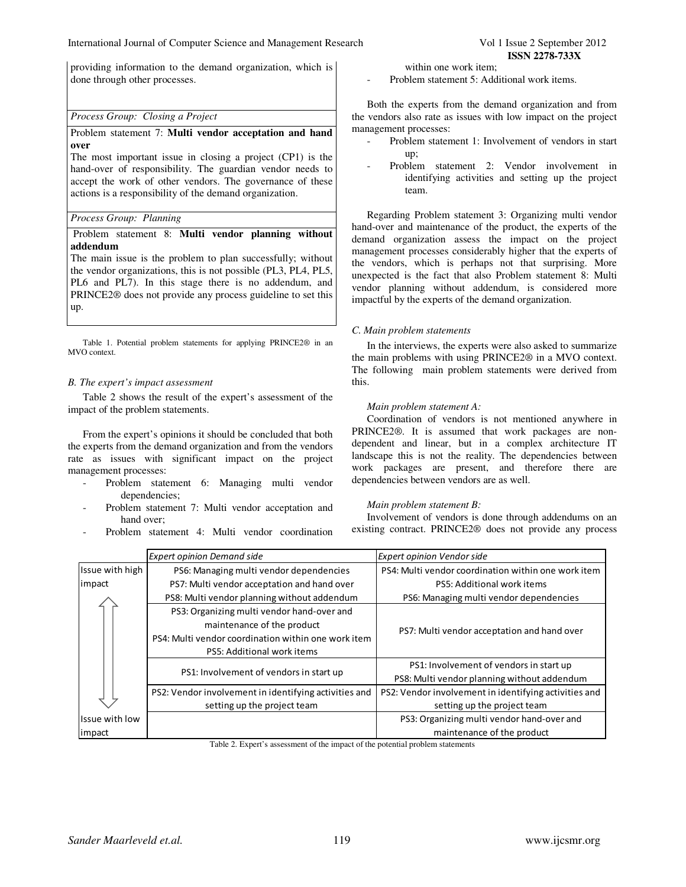providing information to the demand organization, which is done through other processes.

## *Process Group: Closing a Project*

### Problem statement 7: **Multi vendor acceptation and hand over**

The most important issue in closing a project (CP1) is the hand-over of responsibility. The guardian vendor needs to accept the work of other vendors. The governance of these actions is a responsibility of the demand organization.

### *Process Group: Planning*

## Problem statement 8: **Multi vendor planning without addendum**

The main issue is the problem to plan successfully; without the vendor organizations, this is not possible (PL3, PL4, PL5, PL6 and PL7). In this stage there is no addendum, and PRINCE2® does not provide any process guideline to set this up.

Table 1. Potential problem statements for applying PRINCE2® in an MVO context.

#### *B. The expert's impact assessment*

Table 2 shows the result of the expert's assessment of the impact of the problem statements.

From the expert's opinions it should be concluded that both the experts from the demand organization and from the vendors rate as issues with significant impact on the project management processes:

- Problem statement 6: Managing multi vendor dependencies;
- Problem statement 7: Multi vendor acceptation and hand over;
- Problem statement 4: Multi vendor coordination

within one work item;

Problem statement 5: Additional work items.

Both the experts from the demand organization and from the vendors also rate as issues with low impact on the project management processes:

- Problem statement 1: Involvement of vendors in start up;
- Problem statement 2: Vendor involvement in identifying activities and setting up the project team.

Regarding Problem statement 3: Organizing multi vendor hand-over and maintenance of the product, the experts of the demand organization assess the impact on the project management processes considerably higher that the experts of the vendors, which is perhaps not that surprising. More unexpected is the fact that also Problem statement 8: Multi vendor planning without addendum, is considered more impactful by the experts of the demand organization.

# *C. Main problem statements*

In the interviews, the experts were also asked to summarize the main problems with using PRINCE2® in a MVO context. The following main problem statements were derived from this.

# *Main problem statement A:*

Coordination of vendors is not mentioned anywhere in PRINCE2®. It is assumed that work packages are nondependent and linear, but in a complex architecture IT landscape this is not the reality. The dependencies between work packages are present, and therefore there are dependencies between vendors are as well.

# *Main problem statement B:*

Involvement of vendors is done through addendums on an existing contract. PRINCE2® does not provide any process

|                 | <b>Expert opinion Demand side</b>                     | <b>Expert opinion Vendor side</b>                     |
|-----------------|-------------------------------------------------------|-------------------------------------------------------|
| Issue with high | PS6: Managing multi vendor dependencies               | PS4: Multi vendor coordination within one work item   |
| impact          | PS7: Multi vendor acceptation and hand over           | PS5: Additional work items                            |
|                 | PS8: Multi vendor planning without addendum           | PS6: Managing multi vendor dependencies               |
|                 | PS3: Organizing multi vendor hand-over and            | PS7: Multi vendor acceptation and hand over           |
|                 | maintenance of the product                            |                                                       |
|                 | PS4: Multi vendor coordination within one work item   |                                                       |
|                 | PS5: Additional work items                            |                                                       |
|                 | PS1: Involvement of vendors in start up               | PS1: Involvement of vendors in start up               |
|                 |                                                       | PS8: Multi vendor planning without addendum           |
|                 | PS2: Vendor involvement in identifying activities and | PS2: Vendor involvement in identifying activities and |
|                 | setting up the project team                           | setting up the project team                           |
| Issue with low  |                                                       | PS3: Organizing multi vendor hand-over and            |
| impact          |                                                       | maintenance of the product                            |

Table 2. Expert's assessment of the impact of the potential problem statements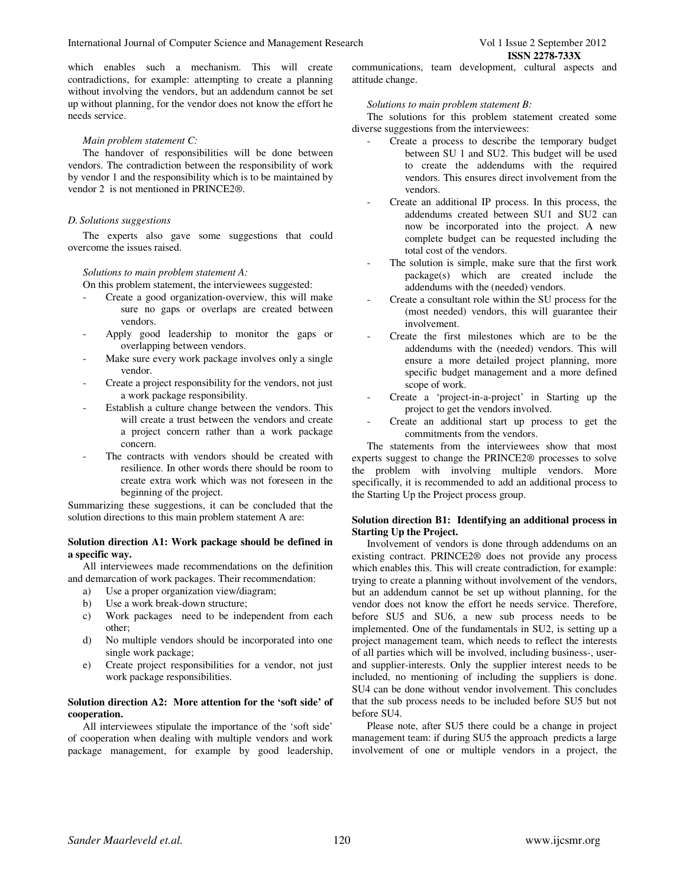which enables such a mechanism. This will create contradictions, for example: attempting to create a planning without involving the vendors, but an addendum cannot be set up without planning, for the vendor does not know the effort he needs service.

#### *Main problem statement C:*

The handover of responsibilities will be done between vendors. The contradiction between the responsibility of work by vendor 1 and the responsibility which is to be maintained by vendor 2 is not mentioned in PRINCE2®.

#### *D. Solutions suggestions*

The experts also gave some suggestions that could overcome the issues raised.

#### *Solutions to main problem statement A:*

On this problem statement, the interviewees suggested:

- Create a good organization-overview, this will make sure no gaps or overlaps are created between vendors.
- Apply good leadership to monitor the gaps or overlapping between vendors.
- Make sure every work package involves only a single vendor.
- Create a project responsibility for the vendors, not just a work package responsibility.
- Establish a culture change between the vendors. This will create a trust between the vendors and create a project concern rather than a work package concern.
- The contracts with vendors should be created with resilience. In other words there should be room to create extra work which was not foreseen in the beginning of the project.

Summarizing these suggestions, it can be concluded that the solution directions to this main problem statement A are:

# **Solution direction A1: Work package should be defined in a specific way.**

All interviewees made recommendations on the definition and demarcation of work packages. Their recommendation:

- a) Use a proper organization view/diagram;
- b) Use a work break-down structure;
- c) Work packages need to be independent from each other;
- d) No multiple vendors should be incorporated into one single work package;
- e) Create project responsibilities for a vendor, not just work package responsibilities.

# **Solution direction A2: More attention for the 'soft side' of cooperation.**

All interviewees stipulate the importance of the 'soft side' of cooperation when dealing with multiple vendors and work package management, for example by good leadership,

communications, team development, cultural aspects and attitude change.

#### *Solutions to main problem statement B:*

The solutions for this problem statement created some diverse suggestions from the interviewees:

- Create a process to describe the temporary budget between SU 1 and SU2. This budget will be used to create the addendums with the required vendors. This ensures direct involvement from the vendors.
- Create an additional IP process. In this process, the addendums created between SU1 and SU2 can now be incorporated into the project. A new complete budget can be requested including the total cost of the vendors.
- The solution is simple, make sure that the first work package(s) which are created include the addendums with the (needed) vendors.
- Create a consultant role within the SU process for the (most needed) vendors, this will guarantee their involvement.
- Create the first milestones which are to be the addendums with the (needed) vendors. This will ensure a more detailed project planning, more specific budget management and a more defined scope of work.
- Create a 'project-in-a-project' in Starting up the project to get the vendors involved.
- Create an additional start up process to get the commitments from the vendors.

The statements from the interviewees show that most experts suggest to change the PRINCE2® processes to solve the problem with involving multiple vendors. More specifically, it is recommended to add an additional process to the Starting Up the Project process group.

#### **Solution direction B1: Identifying an additional process in Starting Up the Project.**

Involvement of vendors is done through addendums on an existing contract. PRINCE2® does not provide any process which enables this. This will create contradiction, for example: trying to create a planning without involvement of the vendors, but an addendum cannot be set up without planning, for the vendor does not know the effort he needs service. Therefore, before SU5 and SU6, a new sub process needs to be implemented. One of the fundamentals in SU2, is setting up a project management team, which needs to reflect the interests of all parties which will be involved, including business-, userand supplier-interests. Only the supplier interest needs to be included, no mentioning of including the suppliers is done. SU4 can be done without vendor involvement. This concludes that the sub process needs to be included before SU5 but not before SU4.

Please note, after SU5 there could be a change in project management team: if during SU5 the approach predicts a large involvement of one or multiple vendors in a project, the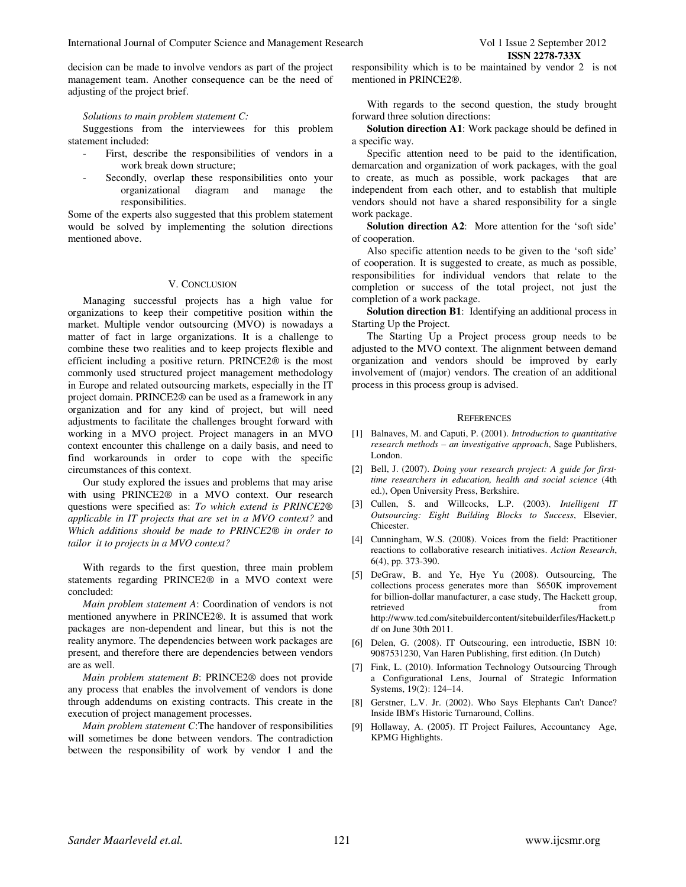decision can be made to involve vendors as part of the project management team. Another consequence can be the need of adjusting of the project brief.

#### *Solutions to main problem statement C:*

Suggestions from the interviewees for this problem statement included:

- First, describe the responsibilities of vendors in a work break down structure;
- Secondly, overlap these responsibilities onto your organizational diagram and manage the responsibilities.

Some of the experts also suggested that this problem statement would be solved by implementing the solution directions mentioned above.

#### V. CONCLUSION

Managing successful projects has a high value for organizations to keep their competitive position within the market. Multiple vendor outsourcing (MVO) is nowadays a matter of fact in large organizations. It is a challenge to combine these two realities and to keep projects flexible and efficient including a positive return. PRINCE2® is the most commonly used structured project management methodology in Europe and related outsourcing markets, especially in the IT project domain. PRINCE2® can be used as a framework in any organization and for any kind of project, but will need adjustments to facilitate the challenges brought forward with working in a MVO project. Project managers in an MVO context encounter this challenge on a daily basis, and need to find workarounds in order to cope with the specific circumstances of this context.

Our study explored the issues and problems that may arise with using PRINCE2® in a MVO context. Our research questions were specified as: *To which extend is PRINCE2® applicable in IT projects that are set in a MVO context?* and *Which additions should be made to PRINCE2® in order to tailor it to projects in a MVO context?* 

With regards to the first question, three main problem statements regarding PRINCE2® in a MVO context were concluded:

*Main problem statement A*: Coordination of vendors is not mentioned anywhere in PRINCE2®. It is assumed that work packages are non-dependent and linear, but this is not the reality anymore. The dependencies between work packages are present, and therefore there are dependencies between vendors are as well.

*Main problem statement B*: PRINCE2® does not provide any process that enables the involvement of vendors is done through addendums on existing contracts. This create in the execution of project management processes.

*Main problem statement C*:The handover of responsibilities will sometimes be done between vendors. The contradiction between the responsibility of work by vendor 1 and the

responsibility which is to be maintained by vendor 2 is not mentioned in PRINCE2®.

With regards to the second question, the study brought forward three solution directions:

**Solution direction A1**: Work package should be defined in a specific way.

Specific attention need to be paid to the identification, demarcation and organization of work packages, with the goal to create, as much as possible, work packages that are independent from each other, and to establish that multiple vendors should not have a shared responsibility for a single work package.

**Solution direction A2**: More attention for the 'soft side' of cooperation.

Also specific attention needs to be given to the 'soft side' of cooperation. It is suggested to create, as much as possible, responsibilities for individual vendors that relate to the completion or success of the total project, not just the completion of a work package.

**Solution direction B1**: Identifying an additional process in Starting Up the Project.

The Starting Up a Project process group needs to be adjusted to the MVO context. The alignment between demand organization and vendors should be improved by early involvement of (major) vendors. The creation of an additional process in this process group is advised.

#### **REFERENCES**

- [1] Balnaves, M. and Caputi, P. (2001). *Introduction to quantitative research methods – an investigative approach*, Sage Publishers, London.
- [2] Bell, J. (2007). *Doing your research project: A guide for firsttime researchers in education, health and social science* (4th ed.), Open University Press, Berkshire.
- [3] Cullen, S. and Willcocks, L.P. (2003). *Intelligent IT Outsourcing: Eight Building Blocks to Success*, Elsevier, Chicester.
- [4] Cunningham, W.S. (2008). Voices from the field: Practitioner reactions to collaborative research initiatives. *Action Research*, 6(4), pp. 373-390.
- [5] DeGraw, B. and Ye, Hye Yu (2008). Outsourcing, The collections process generates more than \$650K improvement for billion-dollar manufacturer, a case study, The Hackett group, retrieved from  $\sim$ http://www.tcd.com/sitebuildercontent/sitebuilderfiles/Hackett.p df on June 30th 2011.
- [6] Delen, G. (2008). IT Outscouring, een introductie, ISBN 10: 9087531230, Van Haren Publishing, first edition. (In Dutch)
- [7] Fink, L. (2010). Information Technology Outsourcing Through a Configurational Lens, Journal of Strategic Information Systems, 19(2): 124–14.
- [8] Gerstner, L.V. Jr. (2002). Who Says Elephants Can't Dance? Inside IBM's Historic Turnaround, Collins.
- [9] Hollaway, A. (2005). IT Project Failures, Accountancy Age, KPMG Highlights.